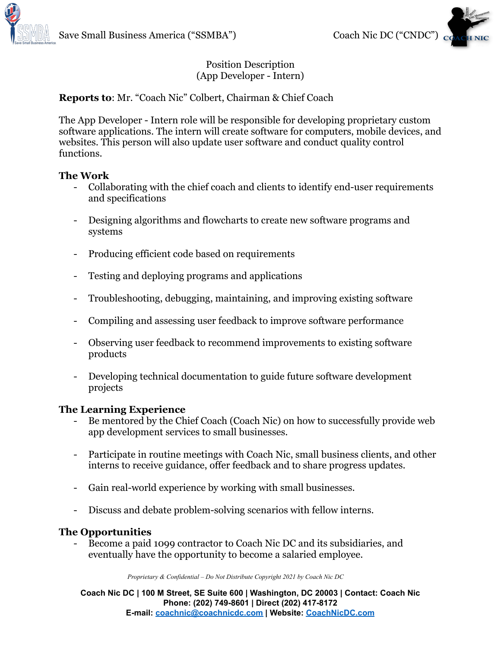



### Position Description (App Developer - Intern)

# **Reports to**: Mr. "Coach Nic" Colbert, Chairman & Chief Coach

The App Developer - Intern role will be responsible for developing proprietary custom software applications. The intern will create software for computers, mobile devices, and websites. This person will also update user software and conduct quality control functions.

#### **The Work**

- Collaborating with the chief coach and clients to identify end-user requirements and specifications
- Designing algorithms and flowcharts to create new software programs and systems
- Producing efficient code based on requirements
- Testing and deploying programs and applications
- Troubleshooting, debugging, maintaining, and improving existing software
- Compiling and assessing user feedback to improve software performance
- Observing user feedback to recommend improvements to existing software products
- Developing technical documentation to guide future software development projects

## **The Learning Experience**

- Be mentored by the Chief Coach (Coach Nic) on how to successfully provide web app development services to small businesses.
- Participate in routine meetings with Coach Nic, small business clients, and other interns to receive guidance, offer feedback and to share progress updates.
- Gain real-world experience by working with small businesses.
- Discuss and debate problem-solving scenarios with fellow interns.

## **The Opportunities**

- Become a paid 1099 contractor to Coach Nic DC and its subsidiaries, and eventually have the opportunity to become a salaried employee.

*Proprietary & Confidential – Do Not Distribute Copyright 2021 by Coach Nic DC*

**Coach Nic DC | 100 M Street, SE Suite 600 | Washington, DC 20003 | Contact: Coach Nic Phone: (202) 749-8601 | Direct (202) 417-8172 E-mail: [coachnic@coachnicdc.com](mailto:coachnic@coachnicdc.com) | Website: [CoachNicDC.com](https://www.coachnicdc.com/)**